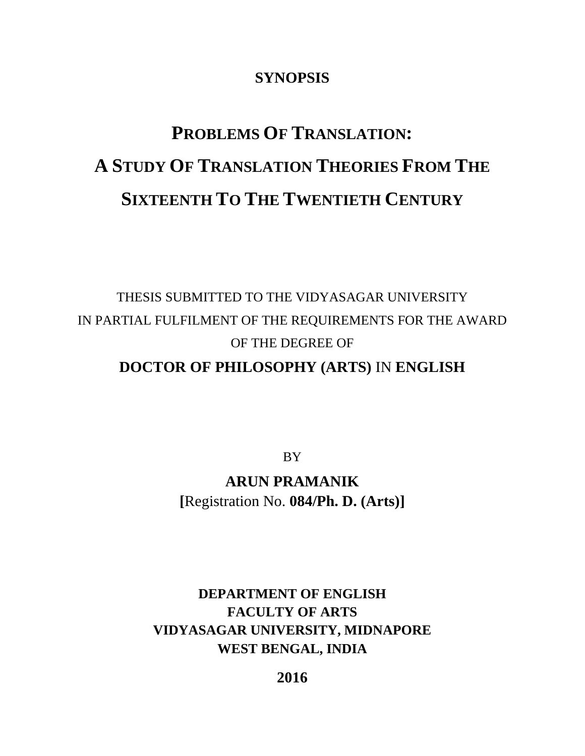### **SYNOPSIS**

# **PROBLEMS OF TRANSLATION: A STUDY OF TRANSLATION THEORIES FROM THE SIXTEENTH TO THE TWENTIETH CENTURY**

## THESIS SUBMITTED TO THE VIDYASAGAR UNIVERSITY IN PARTIAL FULFILMENT OF THE REQUIREMENTS FOR THE AWARD OF THE DEGREE OF

## **DOCTOR OF PHILOSOPHY (ARTS)** IN **ENGLISH**

**BY** 

**ARUN PRAMANIK [**Registration No. **084/Ph. D. (Arts)]**

**DEPARTMENT OF ENGLISH FACULTY OF ARTS VIDYASAGAR UNIVERSITY, MIDNAPORE WEST BENGAL, INDIA**

**2016**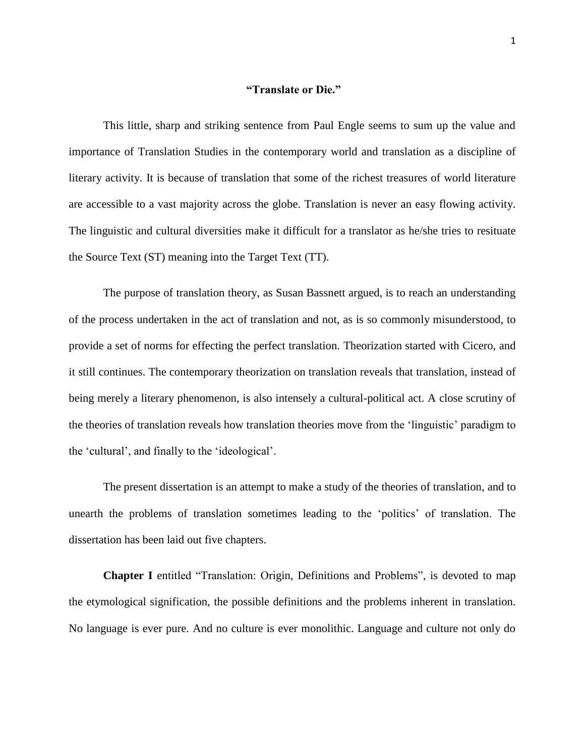#### **"Translate or Die."**

This little, sharp and striking sentence from Paul Engle seems to sum up the value and importance of Translation Studies in the contemporary world and translation as a discipline of literary activity. It is because of translation that some of the richest treasures of world literature are accessible to a vast majority across the globe. Translation is never an easy flowing activity. The linguistic and cultural diversities make it difficult for a translator as he/she tries to resituate the Source Text (ST) meaning into the Target Text (TT).

The purpose of translation theory, as Susan Bassnett argued, is to reach an understanding of the process undertaken in the act of translation and not, as is so commonly misunderstood, to provide a set of norms for effecting the perfect translation. Theorization started with Cicero, and it still continues. The contemporary theorization on translation reveals that translation, instead of being merely a literary phenomenon, is also intensely a cultural-political act. A close scrutiny of the theories of translation reveals how translation theories move from the "linguistic" paradigm to the "cultural", and finally to the "ideological".

The present dissertation is an attempt to make a study of the theories of translation, and to unearth the problems of translation sometimes leading to the "politics" of translation. The dissertation has been laid out five chapters.

**Chapter I** entitled "Translation: Origin, Definitions and Problems", is devoted to map the etymological signification, the possible definitions and the problems inherent in translation. No language is ever pure. And no culture is ever monolithic. Language and culture not only do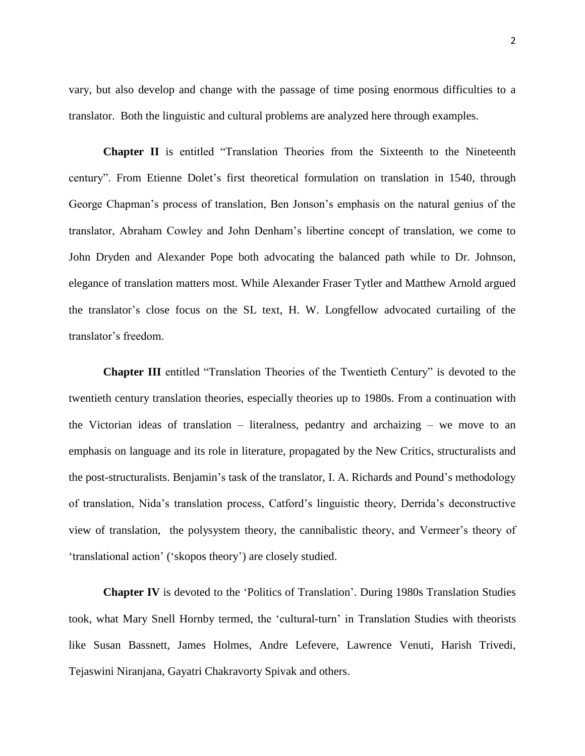vary, but also develop and change with the passage of time posing enormous difficulties to a translator. Both the linguistic and cultural problems are analyzed here through examples.

**Chapter II** is entitled "Translation Theories from the Sixteenth to the Nineteenth century". From Etienne Dolet"s first theoretical formulation on translation in 1540, through George Chapman's process of translation, Ben Jonson's emphasis on the natural genius of the translator, Abraham Cowley and John Denham"s libertine concept of translation, we come to John Dryden and Alexander Pope both advocating the balanced path while to Dr. Johnson, elegance of translation matters most. While Alexander Fraser Tytler and Matthew Arnold argued the translator"s close focus on the SL text, H. W. Longfellow advocated curtailing of the translator"s freedom.

**Chapter III** entitled "Translation Theories of the Twentieth Century" is devoted to the twentieth century translation theories, especially theories up to 1980s. From a continuation with the Victorian ideas of translation – literalness, pedantry and archaizing – we move to an emphasis on language and its role in literature, propagated by the New Critics, structuralists and the post-structuralists. Benjamin"s task of the translator, I. A. Richards and Pound"s methodology of translation, Nida"s translation process, Catford"s linguistic theory, Derrida"s deconstructive view of translation, the polysystem theory, the cannibalistic theory, and Vermeer"s theory of "translational action" ("skopos theory") are closely studied.

**Chapter IV** is devoted to the "Politics of Translation". During 1980s Translation Studies took, what Mary Snell Hornby termed, the "cultural-turn" in Translation Studies with theorists like Susan Bassnett, James Holmes, Andre Lefevere, Lawrence Venuti, Harish Trivedi, Tejaswini Niranjana, Gayatri Chakravorty Spivak and others.